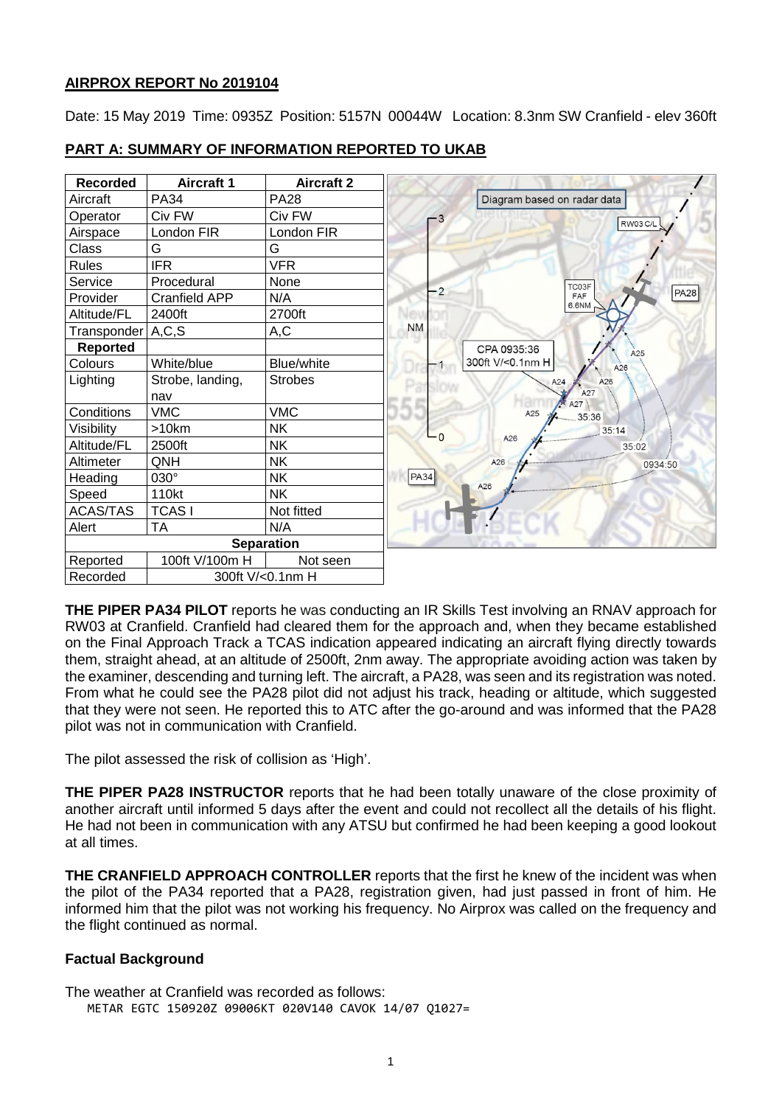## **AIRPROX REPORT No 2019104**

Date: 15 May 2019 Time: 0935Z Position: 5157N 00044W Location: 8.3nm SW Cranfield - elev 360ft

| <b>Recorded</b>   | <b>Aircraft 1</b>    | <b>Aircraft 2</b> |                |                             |
|-------------------|----------------------|-------------------|----------------|-----------------------------|
| Aircraft          | <b>PA34</b>          | <b>PA28</b>       |                | Diagram based on radar data |
| Operator          | Civ FW               | Civ FW            | $-3$           | <b>RW03 C/L</b>             |
| Airspace          | London FIR           | London FIR        |                |                             |
| Class             | G                    | G                 |                |                             |
| <b>Rules</b>      | <b>IFR</b>           | <b>VFR</b>        |                |                             |
| Service           | Procedural           | None              |                | TC03F                       |
| Provider          | <b>Cranfield APP</b> | N/A               | $\overline{2}$ | FAF<br>6.6NM                |
| Altitude/FL       | 2400ft               | 2700ft            |                |                             |
| Transponder A,C,S |                      | A,C               | <b>NM</b>      |                             |
| <b>Reported</b>   |                      |                   |                | CPA 0935:36<br>A25          |
| Colours           | White/blue           | <b>Blue/white</b> |                | 300ft V/<0.1nm H<br>A26     |
| Lighting          | Strobe, landing,     | <b>Strobes</b>    |                | A26<br>A24                  |
|                   | nav                  |                   |                | A27<br>A27                  |
| Conditions        | <b>VMC</b>           | <b>VMC</b>        |                | A25<br>35:36                |
| Visibility        | >10km                | <b>NK</b>         | n              | 35:14<br>A26                |
| Altitude/FL       | 2500ft               | <b>NK</b>         |                | 35:02                       |
| Altimeter         | QNH                  | <b>NK</b>         |                | A26<br>0934:50              |
| Heading           | 030°                 | <b>NK</b>         | PA34           | A26                         |
| Speed             | 110kt                | <b>NK</b>         |                |                             |
| <b>ACAS/TAS</b>   | <b>TCASI</b>         | Not fitted        |                |                             |
| Alert             | <b>TA</b>            | N/A               |                |                             |
|                   |                      | <b>Separation</b> |                |                             |
| Reported          | 100ft V/100m H       | Not seen          |                |                             |
| Recorded          | 300ft V/<0.1nm H     |                   |                |                             |

## **PART A: SUMMARY OF INFORMATION REPORTED TO UKAB**

**THE PIPER PA34 PILOT** reports he was conducting an IR Skills Test involving an RNAV approach for RW03 at Cranfield. Cranfield had cleared them for the approach and, when they became established on the Final Approach Track a TCAS indication appeared indicating an aircraft flying directly towards them, straight ahead, at an altitude of 2500ft, 2nm away. The appropriate avoiding action was taken by the examiner, descending and turning left. The aircraft, a PA28, was seen and its registration was noted. From what he could see the PA28 pilot did not adjust his track, heading or altitude, which suggested that they were not seen. He reported this to ATC after the go-around and was informed that the PA28 pilot was not in communication with Cranfield.

The pilot assessed the risk of collision as 'High'.

**THE PIPER PA28 INSTRUCTOR** reports that he had been totally unaware of the close proximity of another aircraft until informed 5 days after the event and could not recollect all the details of his flight. He had not been in communication with any ATSU but confirmed he had been keeping a good lookout at all times.

**THE CRANFIELD APPROACH CONTROLLER** reports that the first he knew of the incident was when the pilot of the PA34 reported that a PA28, registration given, had just passed in front of him. He informed him that the pilot was not working his frequency. No Airprox was called on the frequency and the flight continued as normal.

## **Factual Background**

The weather at Cranfield was recorded as follows: METAR EGTC 150920Z 09006KT 020V140 CAVOK 14/07 Q1027=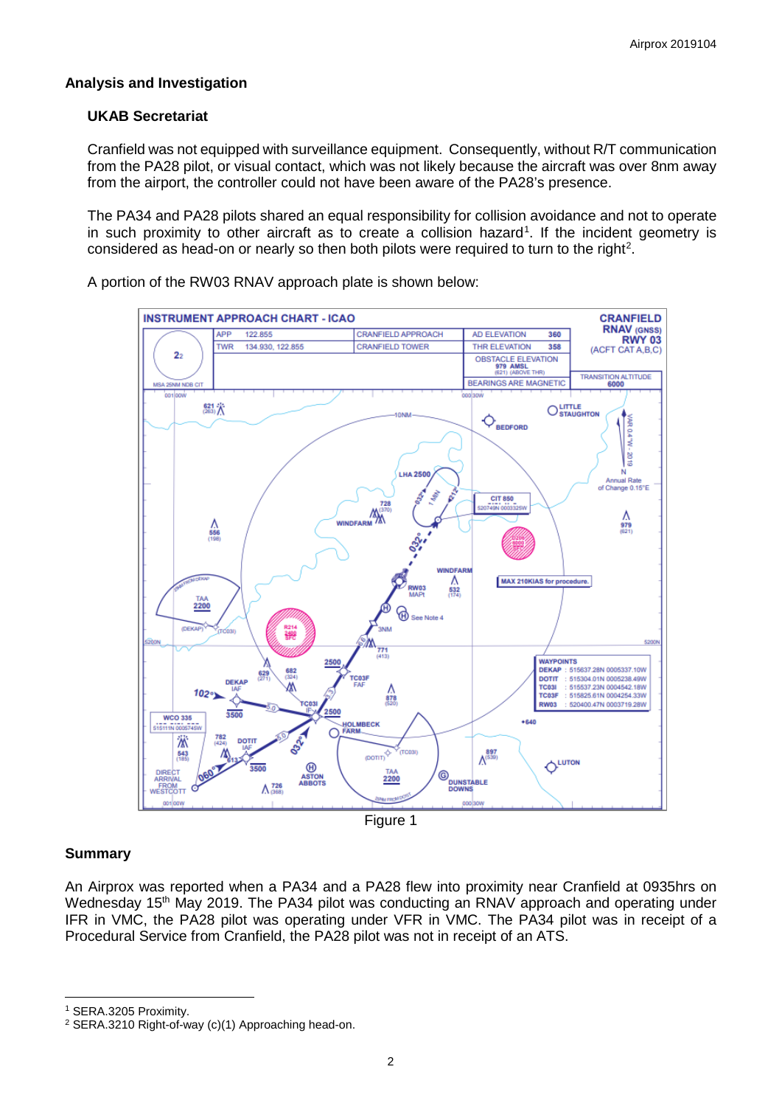## **Analysis and Investigation**

## **UKAB Secretariat**

Cranfield was not equipped with surveillance equipment. Consequently, without R/T communication from the PA28 pilot, or visual contact, which was not likely because the aircraft was over 8nm away from the airport, the controller could not have been aware of the PA28's presence.

The PA34 and PA28 pilots shared an equal responsibility for collision avoidance and not to operate in such proximity to other aircraft as to create a collision hazard<sup>[1](#page-1-0)</sup>. If the incident geometry is considered as head-on or nearly so then both pilots were required to turn to the right<sup>[2](#page-1-1)</sup>.

A portion of the RW03 RNAV approach plate is shown below:



## **Summary**

 $\overline{\phantom{a}}$ 

An Airprox was reported when a PA34 and a PA28 flew into proximity near Cranfield at 0935hrs on Wednesday 15<sup>th</sup> May 2019. The PA34 pilot was conducting an RNAV approach and operating under IFR in VMC, the PA28 pilot was operating under VFR in VMC. The PA34 pilot was in receipt of a Procedural Service from Cranfield, the PA28 pilot was not in receipt of an ATS.

<span id="page-1-0"></span><sup>1</sup> SERA.3205 Proximity.

<span id="page-1-1"></span><sup>2</sup> SERA.3210 Right-of-way (c)(1) Approaching head-on.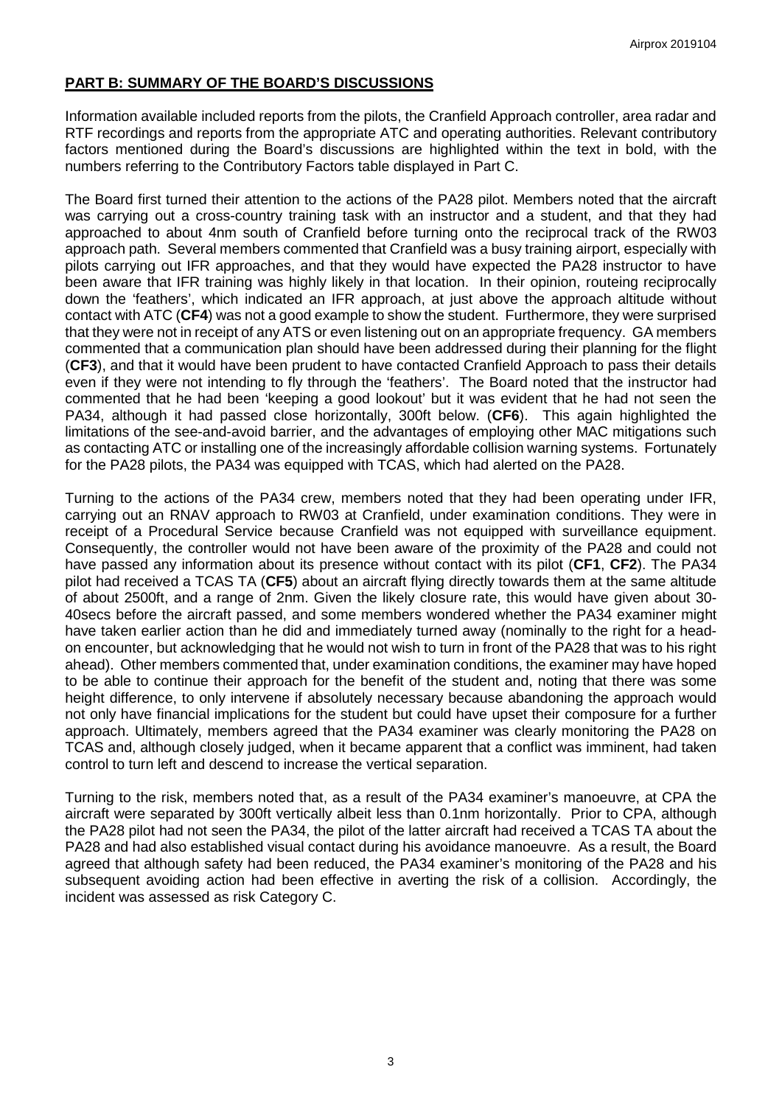## **PART B: SUMMARY OF THE BOARD'S DISCUSSIONS**

Information available included reports from the pilots, the Cranfield Approach controller, area radar and RTF recordings and reports from the appropriate ATC and operating authorities. Relevant contributory factors mentioned during the Board's discussions are highlighted within the text in bold, with the numbers referring to the Contributory Factors table displayed in Part C.

The Board first turned their attention to the actions of the PA28 pilot. Members noted that the aircraft was carrying out a cross-country training task with an instructor and a student, and that they had approached to about 4nm south of Cranfield before turning onto the reciprocal track of the RW03 approach path. Several members commented that Cranfield was a busy training airport, especially with pilots carrying out IFR approaches, and that they would have expected the PA28 instructor to have been aware that IFR training was highly likely in that location. In their opinion, routeing reciprocally down the 'feathers', which indicated an IFR approach, at just above the approach altitude without contact with ATC (**CF4**) was not a good example to show the student. Furthermore, they were surprised that they were not in receipt of any ATS or even listening out on an appropriate frequency. GA members commented that a communication plan should have been addressed during their planning for the flight (**CF3**), and that it would have been prudent to have contacted Cranfield Approach to pass their details even if they were not intending to fly through the 'feathers'. The Board noted that the instructor had commented that he had been 'keeping a good lookout' but it was evident that he had not seen the PA34, although it had passed close horizontally, 300ft below. (**CF6**). This again highlighted the limitations of the see-and-avoid barrier, and the advantages of employing other MAC mitigations such as contacting ATC or installing one of the increasingly affordable collision warning systems. Fortunately for the PA28 pilots, the PA34 was equipped with TCAS, which had alerted on the PA28.

Turning to the actions of the PA34 crew, members noted that they had been operating under IFR, carrying out an RNAV approach to RW03 at Cranfield, under examination conditions. They were in receipt of a Procedural Service because Cranfield was not equipped with surveillance equipment. Consequently, the controller would not have been aware of the proximity of the PA28 and could not have passed any information about its presence without contact with its pilot (**CF1**, **CF2**). The PA34 pilot had received a TCAS TA (**CF5**) about an aircraft flying directly towards them at the same altitude of about 2500ft, and a range of 2nm. Given the likely closure rate, this would have given about 30- 40secs before the aircraft passed, and some members wondered whether the PA34 examiner might have taken earlier action than he did and immediately turned away (nominally to the right for a headon encounter, but acknowledging that he would not wish to turn in front of the PA28 that was to his right ahead). Other members commented that, under examination conditions, the examiner may have hoped to be able to continue their approach for the benefit of the student and, noting that there was some height difference, to only intervene if absolutely necessary because abandoning the approach would not only have financial implications for the student but could have upset their composure for a further approach. Ultimately, members agreed that the PA34 examiner was clearly monitoring the PA28 on TCAS and, although closely judged, when it became apparent that a conflict was imminent, had taken control to turn left and descend to increase the vertical separation.

Turning to the risk, members noted that, as a result of the PA34 examiner's manoeuvre, at CPA the aircraft were separated by 300ft vertically albeit less than 0.1nm horizontally. Prior to CPA, although the PA28 pilot had not seen the PA34, the pilot of the latter aircraft had received a TCAS TA about the PA28 and had also established visual contact during his avoidance manoeuvre. As a result, the Board agreed that although safety had been reduced, the PA34 examiner's monitoring of the PA28 and his subsequent avoiding action had been effective in averting the risk of a collision. Accordingly, the incident was assessed as risk Category C.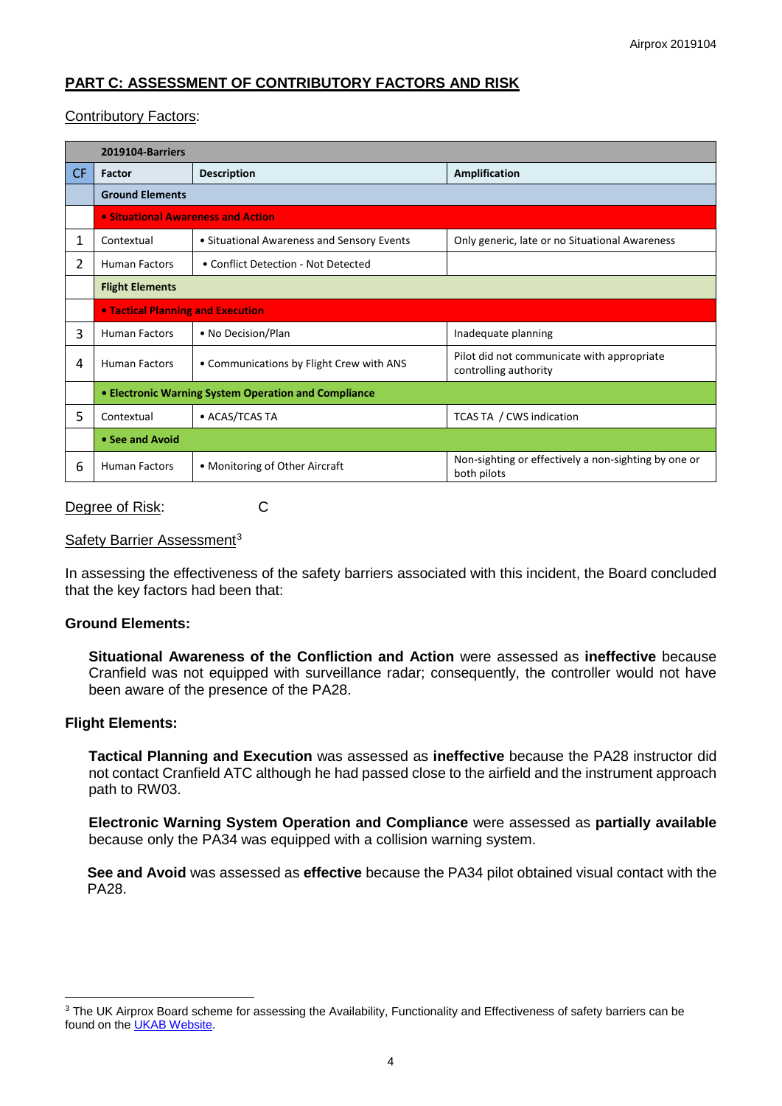# **PART C: ASSESSMENT OF CONTRIBUTORY FACTORS AND RISK**

## Contributory Factors:

|           | 2019104-Barriers                                     |                                            |                                                                     |  |  |  |  |
|-----------|------------------------------------------------------|--------------------------------------------|---------------------------------------------------------------------|--|--|--|--|
| <b>CF</b> | Factor                                               | <b>Description</b>                         | <b>Amplification</b>                                                |  |  |  |  |
|           | <b>Ground Elements</b>                               |                                            |                                                                     |  |  |  |  |
|           | • Situational Awareness and Action                   |                                            |                                                                     |  |  |  |  |
| 1         | Contextual                                           | • Situational Awareness and Sensory Events | Only generic, late or no Situational Awareness                      |  |  |  |  |
| 2         | <b>Human Factors</b>                                 | • Conflict Detection - Not Detected        |                                                                     |  |  |  |  |
|           | <b>Flight Elements</b>                               |                                            |                                                                     |  |  |  |  |
|           | <b>• Tactical Planning and Execution</b>             |                                            |                                                                     |  |  |  |  |
| 3         | <b>Human Factors</b>                                 | • No Decision/Plan                         | Inadequate planning                                                 |  |  |  |  |
| 4         | <b>Human Factors</b>                                 | • Communications by Flight Crew with ANS   | Pilot did not communicate with appropriate<br>controlling authority |  |  |  |  |
|           | • Electronic Warning System Operation and Compliance |                                            |                                                                     |  |  |  |  |
| 5         | Contextual                                           | • ACAS/TCAS TA                             | TCAS TA / CWS indication                                            |  |  |  |  |
|           | • See and Avoid                                      |                                            |                                                                     |  |  |  |  |
| 6         | <b>Human Factors</b>                                 | • Monitoring of Other Aircraft             | Non-sighting or effectively a non-sighting by one or<br>both pilots |  |  |  |  |

#### Degree of Risk: C

## Safety Barrier Assessment<sup>[3](#page-3-0)</sup>

In assessing the effectiveness of the safety barriers associated with this incident, the Board concluded that the key factors had been that:

## **Ground Elements:**

**Situational Awareness of the Confliction and Action** were assessed as **ineffective** because Cranfield was not equipped with surveillance radar; consequently, the controller would not have been aware of the presence of the PA28.

## **Flight Elements:**

 $\overline{\phantom{a}}$ 

**Tactical Planning and Execution** was assessed as **ineffective** because the PA28 instructor did not contact Cranfield ATC although he had passed close to the airfield and the instrument approach path to RW03.

**Electronic Warning System Operation and Compliance** were assessed as **partially available** because only the PA34 was equipped with a collision warning system.

**See and Avoid** was assessed as **effective** because the PA34 pilot obtained visual contact with the PA28.

<span id="page-3-0"></span><sup>&</sup>lt;sup>3</sup> The UK Airprox Board scheme for assessing the Availability, Functionality and Effectiveness of safety barriers can be found on the [UKAB Website.](http://www.airproxboard.org.uk/Learn-more/Airprox-Barrier-Assessment/)